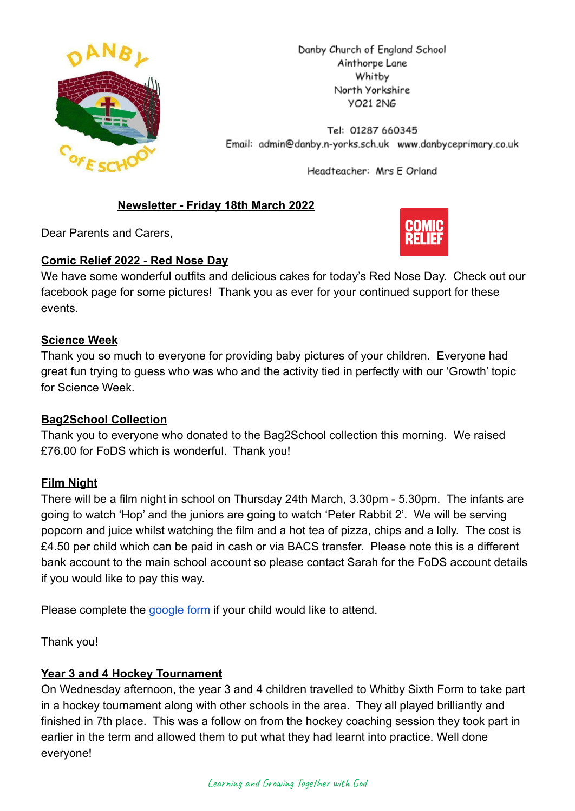

Danby Church of England School Ainthorpe Lane Whitby North Yorkshire **YO21 2NG** 

Tel: 01287 660345 Email: admin@danby.n-yorks.sch.uk www.danbyceprimary.co.uk

Headteacher: Mrs E Orland

# **Newsletter - Friday 18th March 2022**

Dear Parents and Carers,

### **Comic Relief 2022 - Red Nose Day**



We have some wonderful outfits and delicious cakes for today's Red Nose Day. Check out our facebook page for some pictures! Thank you as ever for your continued support for these events.

### **Science Week**

Thank you so much to everyone for providing baby pictures of your children. Everyone had great fun trying to guess who was who and the activity tied in perfectly with our 'Growth' topic for Science Week

# **Bag2School Collection**

Thank you to everyone who donated to the Bag2School collection this morning. We raised £76.00 for FoDS which is wonderful. Thank you!

# **Film Night**

There will be a film night in school on Thursday 24th March, 3.30pm - 5.30pm. The infants are going to watch 'Hop' and the juniors are going to watch 'Peter Rabbit 2'. We will be serving popcorn and juice whilst watching the film and a hot tea of pizza, chips and a lolly. The cost is £4.50 per child which can be paid in cash or via BACS transfer. Please note this is a different bank account to the main school account so please contact Sarah for the FoDS account details if you would like to pay this way.

Please complete the [google form](https://forms.gle/uRoFE4kLMqNqvqqN7) if your child would like to attend.

Thank you!

# **Year 3 and 4 Hockey Tournament**

On Wednesday afternoon, the year 3 and 4 children travelled to Whitby Sixth Form to take part in a hockey tournament along with other schools in the area. They all played brilliantly and finished in 7th place. This was a follow on from the hockey coaching session they took part in earlier in the term and allowed them to put what they had learnt into practice. Well done everyone!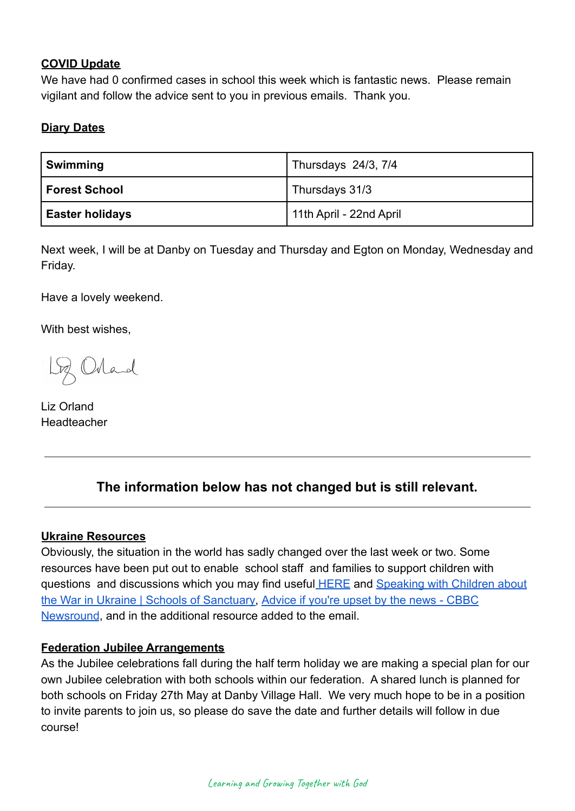#### **COVID Update**

We have had 0 confirmed cases in school this week which is fantastic news. Please remain vigilant and follow the advice sent to you in previous emails. Thank you.

## **Diary Dates**

| Swimming               | Thursdays 24/3, 7/4     |
|------------------------|-------------------------|
| l Forest School        | Thursdays 31/3          |
| <b>Easter holidays</b> | 11th April - 22nd April |

Next week, I will be at Danby on Tuesday and Thursday and Egton on Monday, Wednesday and Friday.

Have a lovely weekend.

With best wishes,

Loz Orland

Liz Orland Headteacher

# **The information below has not changed but is still relevant.**

#### **Ukraine Resources**

Obviously, the situation in the world has sadly changed over the last week or two. Some resources have been put out to enable school staff and families to support children with questions and discussions which you may find useful [HERE](https://educationhub.blog.gov.uk/2022/02/25/help-for-teachers-and-families-to-talk-to-pupils-about-russias-invasion-of-ukraine-and-how-to-help-them-avoid-misinformation/) and [Speaking with Children about](https://schools.cityofsanctuary.org/2022/02/28/speaking-with-children-about-the-war-in-ukraine) [the War in Ukraine | Schools of Sanctuary,](https://schools.cityofsanctuary.org/2022/02/28/speaking-with-children-about-the-war-in-ukraine) Advice [if you're upset by the news - CBBC](https://www.bbc.co.uk/newsround/13865002) [Newsround](https://www.bbc.co.uk/newsround/13865002), and in the additional resource added to the email.

#### **Federation Jubilee Arrangements**

As the Jubilee celebrations fall during the half term holiday we are making a special plan for our own Jubilee celebration with both schools within our federation. A shared lunch is planned for both schools on Friday 27th May at Danby Village Hall. We very much hope to be in a position to invite parents to join us, so please do save the date and further details will follow in due course!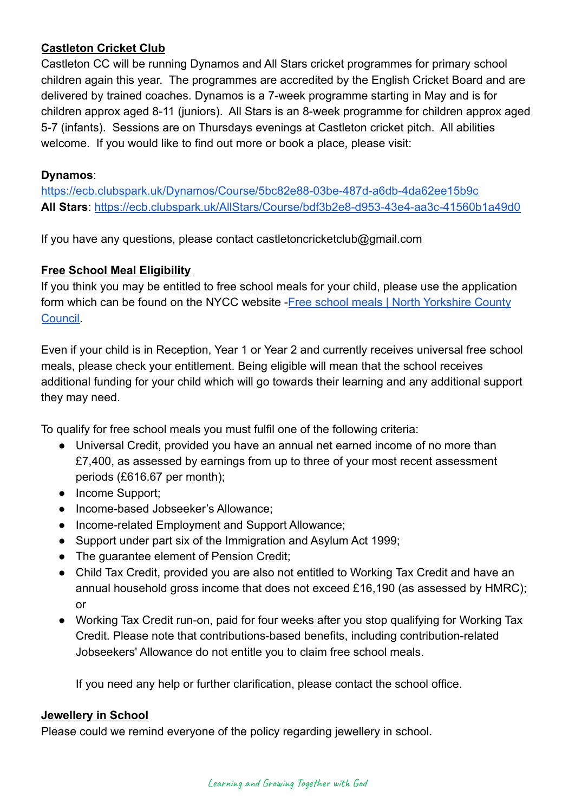### **Castleton Cricket Club**

Castleton CC will be running Dynamos and All Stars cricket programmes for primary school children again this year. The programmes are accredited by the English Cricket Board and are delivered by trained coaches. Dynamos is a 7-week programme starting in May and is for children approx aged 8-11 (juniors). All Stars is an 8-week programme for children approx aged 5-7 (infants). Sessions are on Thursdays evenings at Castleton cricket pitch. All abilities welcome. If you would like to find out more or book a place, please visit:

### **Dynamos**:

<https://ecb.clubspark.uk/Dynamos/Course/5bc82e88-03be-487d-a6db-4da62ee15b9c> **All Stars**: <https://ecb.clubspark.uk/AllStars/Course/bdf3b2e8-d953-43e4-aa3c-41560b1a49d0>

If you have any questions, please contact castletoncricketclub@gmail.com

### **Free School Meal Eligibility**

If you think you may be entitled to free school meals for your child, please use the application form which can be found on the NYCC website -Free [school meals | North Yorkshire County](https://www.northyorks.gov.uk/free-school-meals) [Council.](https://www.northyorks.gov.uk/free-school-meals)

Even if your child is in Reception, Year 1 or Year 2 and currently receives universal free school meals, please check your entitlement. Being eligible will mean that the school receives additional funding for your child which will go towards their learning and any additional support they may need.

To qualify for free school meals you must fulfil one of the following criteria:

- Universal Credit, provided you have an annual net earned income of no more than £7,400, as assessed by earnings from up to three of your most recent assessment periods (£616.67 per month);
- Income Support;
- Income-based Jobseeker's Allowance:
- Income-related Employment and Support Allowance;
- Support under part six of the Immigration and Asylum Act 1999;
- The guarantee element of Pension Credit;
- Child Tax Credit, provided you are also not entitled to Working Tax Credit and have an annual household gross income that does not exceed £16,190 (as assessed by HMRC); or
- Working Tax Credit run-on, paid for four weeks after you stop qualifying for Working Tax Credit. Please note that contributions-based benefits, including contribution-related Jobseekers' Allowance do not entitle you to claim free school meals.

If you need any help or further clarification, please contact the school office.

#### **Jewellery in School**

Please could we remind everyone of the policy regarding jewellery in school.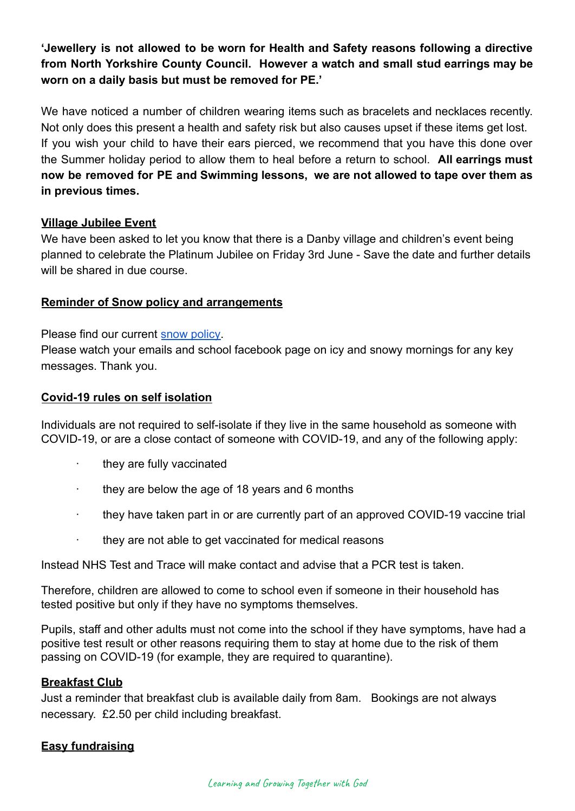**'Jewellery is not allowed to be worn for Health and Safety reasons following a directive from North Yorkshire County Council. However a watch and small stud earrings may be worn on a daily basis but must be removed for PE.'**

We have noticed a number of children wearing items such as bracelets and necklaces recently. Not only does this present a health and safety risk but also causes upset if these items get lost. If you wish your child to have their ears pierced, we recommend that you have this done over the Summer holiday period to allow them to heal before a return to school. **All earrings must now be removed for PE and Swimming lessons, we are not allowed to tape over them as in previous times.**

#### **Village Jubilee Event**

We have been asked to let you know that there is a Danby village and children's event being planned to celebrate the Platinum Jubilee on Friday 3rd June - Save the date and further details will be shared in due course.

#### **Reminder of Snow policy and arrangements**

Please find our current [snow policy.](https://drive.google.com/file/d/1PQF-KS64Fiqqa-jJlT9mfUV8MedCZC4v/view?usp=sharing)

Please watch your emails and school facebook page on icy and snowy mornings for any key messages. Thank you.

#### **Covid-19 rules on self isolation**

Individuals are not required to self-isolate if they live in the same household as someone with COVID-19, or are a close contact of someone with COVID-19, and any of the following apply:

- · they are fully vaccinated
- · they are below the age of 18 years and 6 months
- · they have taken part in or are currently part of an approved COVID-19 vaccine trial
- they are not able to get vaccinated for medical reasons

Instead NHS Test and Trace will make contact and advise that a PCR test is taken.

Therefore, children are allowed to come to school even if someone in their household has tested positive but only if they have no symptoms themselves.

Pupils, staff and other adults must not come into the school if they have symptoms, have had a positive test result or other reasons requiring them to stay at home due to the risk of them passing on COVID-19 (for example, they are required to quarantine).

#### **Breakfast Club**

Just a reminder that breakfast club is available daily from 8am. Bookings are not always necessary. £2.50 per child including breakfast.

#### **Easy fundraising**